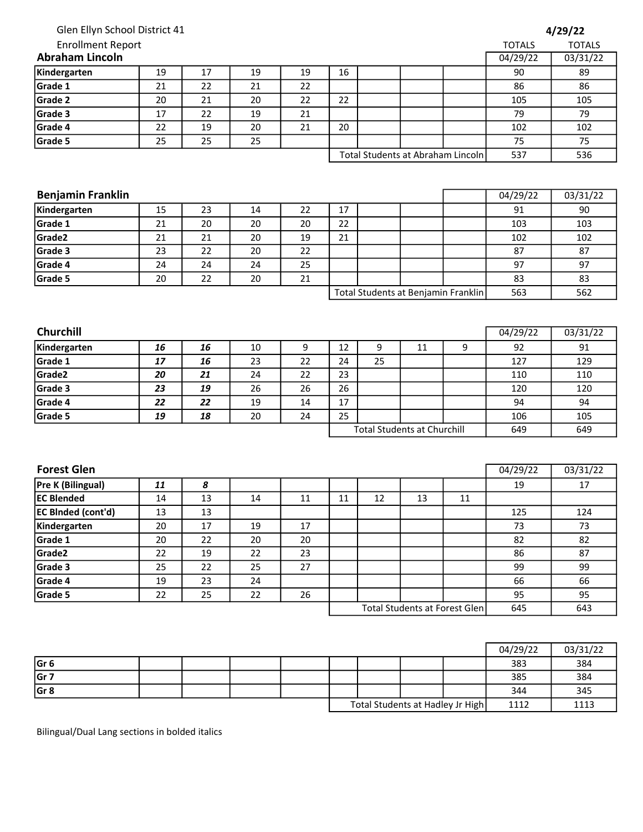| Glen Ellyn School District 41 |    |    |    |        |        |                               |                                    |                                     |               | 4/29/22       |
|-------------------------------|----|----|----|--------|--------|-------------------------------|------------------------------------|-------------------------------------|---------------|---------------|
| <b>Enrollment Report</b>      |    |    |    |        |        |                               |                                    |                                     | <b>TOTALS</b> | <b>TOTALS</b> |
| <b>Abraham Lincoln</b>        |    |    |    |        |        |                               |                                    |                                     | 04/29/22      | 03/31/22      |
| Kindergarten                  | 19 | 17 | 19 | 19     | 16     |                               |                                    |                                     | 90            | 89            |
| Grade 1                       | 21 | 22 | 21 | 22     |        |                               |                                    |                                     | 86            | 86            |
| Grade 2                       | 20 | 21 | 20 | 22     | 22     |                               |                                    |                                     | 105           | 105           |
| Grade 3                       | 17 | 22 | 19 | 21     |        |                               |                                    |                                     | 79            | 79            |
| Grade 4                       | 22 | 19 | 20 | 21     | 20     |                               |                                    |                                     | 102           | 102           |
| Grade 5                       | 25 | 25 | 25 |        |        |                               |                                    |                                     | 75            | 75            |
|                               |    |    |    |        |        |                               |                                    | Total Students at Abraham Lincoln   | 537           | 536           |
|                               |    |    |    |        |        |                               |                                    |                                     |               |               |
| <b>Benjamin Franklin</b>      |    |    |    |        |        |                               |                                    |                                     | 04/29/22      | 03/31/22      |
| Kindergarten                  | 15 | 23 | 14 | 22     | 17     |                               |                                    |                                     | 91            | 90            |
| Grade 1                       | 21 | 20 | 20 | 20     | 22     |                               |                                    |                                     | 103           | 103           |
| Grade2                        | 21 | 21 | 20 | 19     | 21     |                               |                                    |                                     | 102           | 102           |
| Grade 3                       | 23 | 22 | 20 | 22     |        |                               |                                    |                                     | 87            | 87            |
| Grade 4                       | 24 | 24 | 24 | 25     |        |                               |                                    |                                     | 97            | 97            |
| Grade 5                       | 20 | 22 | 20 | 21     |        |                               |                                    |                                     | 83            | 83            |
|                               |    |    |    |        |        |                               |                                    | Total Students at Benjamin Franklin | 563           | 562           |
|                               |    |    |    |        |        |                               |                                    |                                     |               |               |
| <b>Churchill</b>              |    |    |    |        |        |                               |                                    |                                     | 04/29/22      | 03/31/22      |
| Kindergarten                  | 16 | 16 | 10 | 9      | 12     | 9                             | 11                                 | 9                                   | 92            | 91            |
| Grade 1                       | 17 | 16 | 23 | 22     | 24     | 25                            |                                    |                                     | 127           | 129           |
| Grade2                        | 20 | 21 | 24 | 22     | 23     |                               |                                    |                                     | 110           | 110           |
| Grade 3                       | 23 | 19 | 26 | 26     | 26     |                               |                                    |                                     | 120           | 120           |
| Grade 4                       | 22 | 22 | 19 | 14     | 17     |                               |                                    |                                     | 94            | 94            |
| Grade 5                       | 19 | 18 | 20 | 24     |        | 25                            |                                    | 106                                 | 105           |               |
|                               |    |    |    |        |        |                               | <b>Total Students at Churchill</b> |                                     | 649           | 649           |
| <b>Forest Glen</b>            |    |    |    |        |        |                               |                                    |                                     |               |               |
|                               |    |    |    |        |        |                               |                                    |                                     | 04/29/22      | 03/31/22      |
| Pre K (Bilingual)             | 11 | 8  |    |        |        |                               |                                    |                                     | 19            | 17            |
| <b>EC Blended</b>             | 14 | 13 | 14 | $11\,$ | $11\,$ | 12                            | 13                                 | 11                                  |               |               |
| EC Binded (cont'd)            | 13 | 13 |    |        |        |                               |                                    |                                     | 125           | 124           |
| Kindergarten                  | 20 | 17 | 19 | 17     |        |                               |                                    |                                     | 73            | 73            |
| Grade 1                       | 20 | 22 | 20 | 20     |        |                               |                                    |                                     | 82            | 82            |
| Grade <sub>2</sub>            | 22 | 19 | 22 | 23     |        |                               |                                    |                                     | 86            | 87            |
| Grade 3                       | 25 | 22 | 25 | 27     |        |                               |                                    |                                     | 99            | 99            |
| Grade 4                       | 19 | 23 | 24 |        |        |                               |                                    |                                     | 66            | 66            |
| Grade 5                       | 22 | 25 | 22 | 26     |        |                               |                                    |                                     | 95<br>645     | 95            |
|                               |    |    |    |        |        | Total Students at Forest Glen |                                    |                                     |               | 643           |
|                               |    |    |    |        |        |                               |                                    |                                     |               |               |
|                               |    |    |    |        |        |                               |                                    |                                     | 04/29/22      | 03/31/22      |

|       |  |  |                                  |  |      | 04/29/22 | 03/31/22 |
|-------|--|--|----------------------------------|--|------|----------|----------|
| lGr 6 |  |  |                                  |  |      | 383      | 384      |
| Gr 7  |  |  |                                  |  |      | 385      | 384      |
| Gr 8  |  |  |                                  |  |      | 344      | 345      |
|       |  |  | Total Students at Hadley Jr High |  | 1112 | 1113     |          |

Bilingual/Dual Lang sections in bolded italics